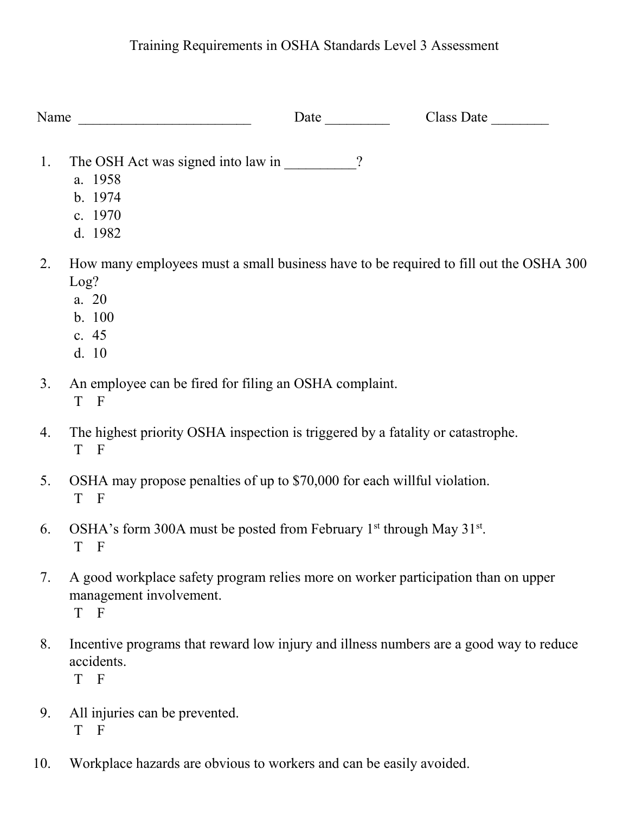## Training Requirements in OSHA Standards Level 3 Assessment

| Name | Date                                                                                                                                | Class Date |
|------|-------------------------------------------------------------------------------------------------------------------------------------|------------|
| 1.   | The OSH Act was signed into law in _________?<br>a. 1958<br>b. 1974<br>c. 1970<br>d. 1982                                           |            |
| 2.   | How many employees must a small business have to be required to fill out the OSHA 300<br>Log?<br>a. 20<br>b. 100<br>c. 45<br>d. 10  |            |
| 3.   | An employee can be fired for filing an OSHA complaint.<br>T F                                                                       |            |
| 4.   | The highest priority OSHA inspection is triggered by a fatality or catastrophe.<br>T F                                              |            |
| 5.   | OSHA may propose penalties of up to \$70,000 for each willful violation.<br>T F                                                     |            |
| 6.   | OSHA's form 300A must be posted from February 1 <sup>st</sup> through May 31 <sup>st</sup> .<br>T<br>$\overline{F}$                 |            |
| 7.   | A good workplace safety program relies more on worker participation than on upper<br>management involvement.<br>$\overline{F}$<br>T |            |
| 8.   | Incentive programs that reward low injury and illness numbers are a good way to reduce<br>accidents.<br>T F                         |            |
| 9.   | All injuries can be prevented.                                                                                                      |            |

- T F
- 10. Workplace hazards are obvious to workers and can be easily avoided.